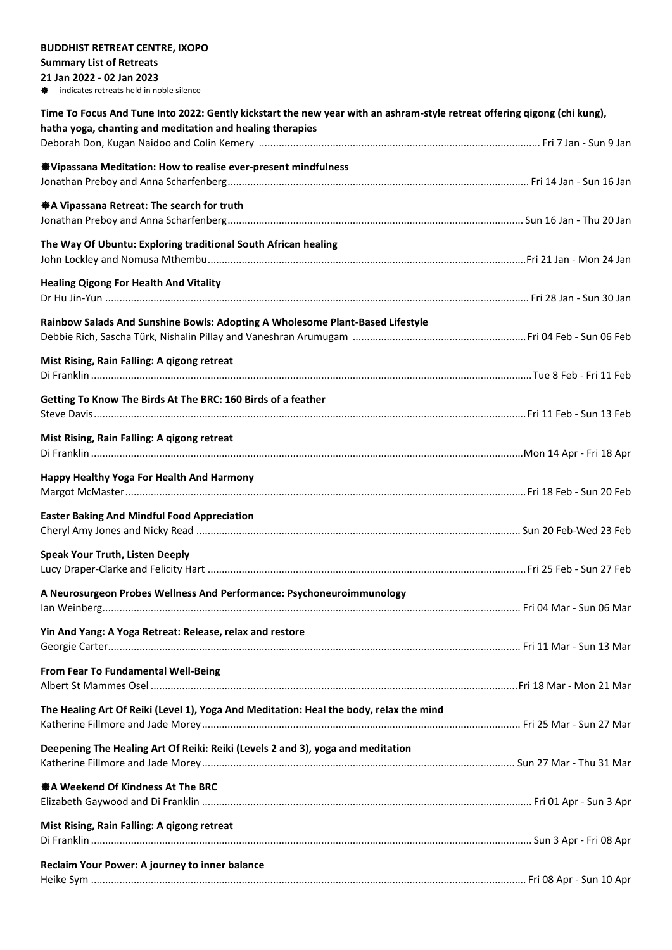| <b>BUDDHIST RETREAT CENTRE, IXOPO</b>                                                                                                                                                 |  |
|---------------------------------------------------------------------------------------------------------------------------------------------------------------------------------------|--|
| <b>Summary List of Retreats</b>                                                                                                                                                       |  |
| 21 Jan 2022 - 02 Jan 2023                                                                                                                                                             |  |
| indicates retreats held in noble silence<br>謈                                                                                                                                         |  |
| Time To Focus And Tune Into 2022: Gently kickstart the new year with an ashram-style retreat offering qigong (chi kung),<br>hatha yoga, chanting and meditation and healing therapies |  |
|                                                                                                                                                                                       |  |
|                                                                                                                                                                                       |  |
| <b><math>\clubsuit</math></b> Vipassana Meditation: How to realise ever-present mindfulness                                                                                           |  |
|                                                                                                                                                                                       |  |
| ※A Vipassana Retreat: The search for truth                                                                                                                                            |  |
|                                                                                                                                                                                       |  |
|                                                                                                                                                                                       |  |
| The Way Of Ubuntu: Exploring traditional South African healing                                                                                                                        |  |
|                                                                                                                                                                                       |  |
| <b>Healing Qigong For Health And Vitality</b>                                                                                                                                         |  |
|                                                                                                                                                                                       |  |
|                                                                                                                                                                                       |  |
| Rainbow Salads And Sunshine Bowls: Adopting A Wholesome Plant-Based Lifestyle                                                                                                         |  |
|                                                                                                                                                                                       |  |
| Mist Rising, Rain Falling: A qigong retreat                                                                                                                                           |  |
|                                                                                                                                                                                       |  |
|                                                                                                                                                                                       |  |
| Getting To Know The Birds At The BRC: 160 Birds of a feather                                                                                                                          |  |
|                                                                                                                                                                                       |  |
| Mist Rising, Rain Falling: A qigong retreat                                                                                                                                           |  |
|                                                                                                                                                                                       |  |
|                                                                                                                                                                                       |  |
| Happy Healthy Yoga For Health And Harmony                                                                                                                                             |  |
|                                                                                                                                                                                       |  |
| <b>Easter Baking And Mindful Food Appreciation</b>                                                                                                                                    |  |
|                                                                                                                                                                                       |  |
|                                                                                                                                                                                       |  |
| <b>Speak Your Truth, Listen Deeply</b>                                                                                                                                                |  |
|                                                                                                                                                                                       |  |
| A Neurosurgeon Probes Wellness And Performance: Psychoneuroimmunology                                                                                                                 |  |
|                                                                                                                                                                                       |  |
|                                                                                                                                                                                       |  |
| Yin And Yang: A Yoga Retreat: Release, relax and restore                                                                                                                              |  |
|                                                                                                                                                                                       |  |
| From Fear To Fundamental Well-Being                                                                                                                                                   |  |
|                                                                                                                                                                                       |  |
|                                                                                                                                                                                       |  |
| The Healing Art Of Reiki (Level 1), Yoga And Meditation: Heal the body, relax the mind                                                                                                |  |
|                                                                                                                                                                                       |  |
| Deepening The Healing Art Of Reiki: Reiki (Levels 2 and 3), yoga and meditation                                                                                                       |  |
|                                                                                                                                                                                       |  |
| ※ A Weekend Of Kindness At The BRC                                                                                                                                                    |  |
|                                                                                                                                                                                       |  |
|                                                                                                                                                                                       |  |
| Mist Rising, Rain Falling: A qigong retreat                                                                                                                                           |  |
|                                                                                                                                                                                       |  |
|                                                                                                                                                                                       |  |
| Reclaim Your Power: A journey to inner balance                                                                                                                                        |  |
|                                                                                                                                                                                       |  |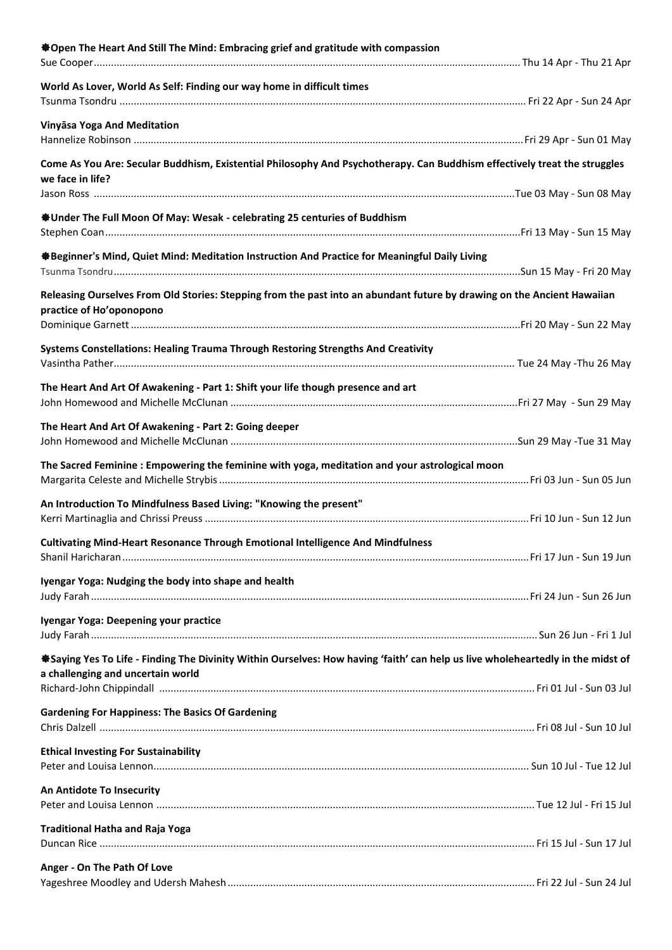| <b>*Open The Heart And Still The Mind: Embracing grief and gratitude with compassion</b>                                        |  |
|---------------------------------------------------------------------------------------------------------------------------------|--|
|                                                                                                                                 |  |
| World As Lover, World As Self: Finding our way home in difficult times                                                          |  |
|                                                                                                                                 |  |
|                                                                                                                                 |  |
| Vinyāsa Yoga And Meditation                                                                                                     |  |
|                                                                                                                                 |  |
| Come As You Are: Secular Buddhism, Existential Philosophy And Psychotherapy. Can Buddhism effectively treat the struggles       |  |
| we face in life?                                                                                                                |  |
|                                                                                                                                 |  |
| <b>SUnder The Full Moon Of May: Wesak - celebrating 25 centuries of Buddhism</b>                                                |  |
|                                                                                                                                 |  |
|                                                                                                                                 |  |
| ※Beginner's Mind, Quiet Mind: Meditation Instruction And Practice for Meaningful Daily Living                                   |  |
|                                                                                                                                 |  |
| Releasing Ourselves From Old Stories: Stepping from the past into an abundant future by drawing on the Ancient Hawaiian         |  |
| practice of Ho'oponopono                                                                                                        |  |
|                                                                                                                                 |  |
| Systems Constellations: Healing Trauma Through Restoring Strengths And Creativity                                               |  |
|                                                                                                                                 |  |
|                                                                                                                                 |  |
| The Heart And Art Of Awakening - Part 1: Shift your life though presence and art                                                |  |
|                                                                                                                                 |  |
| The Heart And Art Of Awakening - Part 2: Going deeper                                                                           |  |
|                                                                                                                                 |  |
| The Sacred Feminine: Empowering the feminine with yoga, meditation and your astrological moon                                   |  |
|                                                                                                                                 |  |
|                                                                                                                                 |  |
| An Introduction To Mindfulness Based Living: "Knowing the present"                                                              |  |
|                                                                                                                                 |  |
| Cultivating Mind-Heart Resonance Through Emotional Intelligence And Mindfulness                                                 |  |
|                                                                                                                                 |  |
| Iyengar Yoga: Nudging the body into shape and health                                                                            |  |
|                                                                                                                                 |  |
|                                                                                                                                 |  |
| Iyengar Yoga: Deepening your practice                                                                                           |  |
|                                                                                                                                 |  |
| *Saying Yes To Life - Finding The Divinity Within Ourselves: How having 'faith' can help us live wholeheartedly in the midst of |  |
| a challenging and uncertain world                                                                                               |  |
|                                                                                                                                 |  |
| <b>Gardening For Happiness: The Basics Of Gardening</b>                                                                         |  |
|                                                                                                                                 |  |
|                                                                                                                                 |  |
| <b>Ethical Investing For Sustainability</b>                                                                                     |  |
|                                                                                                                                 |  |
| An Antidote To Insecurity                                                                                                       |  |
|                                                                                                                                 |  |
| <b>Traditional Hatha and Raja Yoga</b>                                                                                          |  |
|                                                                                                                                 |  |
|                                                                                                                                 |  |
| Anger - On The Path Of Love                                                                                                     |  |
|                                                                                                                                 |  |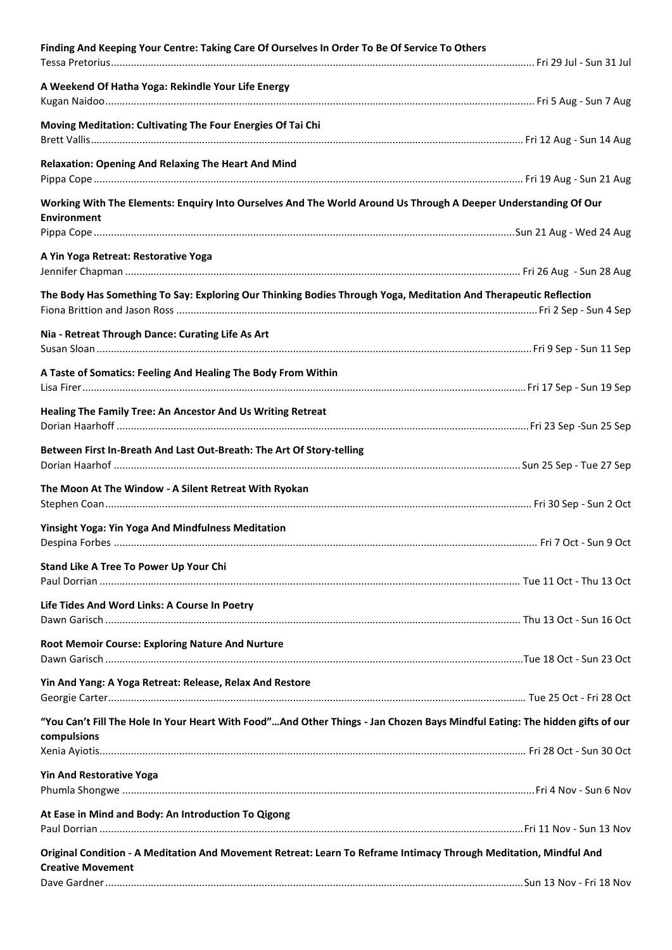| Finding And Keeping Your Centre: Taking Care Of Ourselves In Order To Be Of Service To Others                                                 |  |
|-----------------------------------------------------------------------------------------------------------------------------------------------|--|
| A Weekend Of Hatha Yoga: Rekindle Your Life Energy                                                                                            |  |
| Moving Meditation: Cultivating The Four Energies Of Tai Chi                                                                                   |  |
| <b>Relaxation: Opening And Relaxing The Heart And Mind</b>                                                                                    |  |
| Working With The Elements: Enquiry Into Ourselves And The World Around Us Through A Deeper Understanding Of Our                               |  |
| <b>Environment</b>                                                                                                                            |  |
| A Yin Yoga Retreat: Restorative Yoga                                                                                                          |  |
| The Body Has Something To Say: Exploring Our Thinking Bodies Through Yoga, Meditation And Therapeutic Reflection                              |  |
| Nia - Retreat Through Dance: Curating Life As Art                                                                                             |  |
| A Taste of Somatics: Feeling And Healing The Body From Within                                                                                 |  |
| Healing The Family Tree: An Ancestor And Us Writing Retreat                                                                                   |  |
| Between First In-Breath And Last Out-Breath: The Art Of Story-telling                                                                         |  |
| The Moon At The Window - A Silent Retreat With Ryokan                                                                                         |  |
| <b>Yinsight Yoga: Yin Yoga And Mindfulness Meditation</b>                                                                                     |  |
| Stand Like A Tree To Power Up Your Chi                                                                                                        |  |
| Life Tides And Word Links: A Course In Poetry                                                                                                 |  |
| Root Memoir Course: Exploring Nature And Nurture                                                                                              |  |
| Yin And Yang: A Yoga Retreat: Release, Relax And Restore                                                                                      |  |
| "You Can't Fill The Hole In Your Heart With Food"And Other Things - Jan Chozen Bays Mindful Eating: The hidden gifts of our<br>compulsions    |  |
| <b>Yin And Restorative Yoga</b>                                                                                                               |  |
| At Ease in Mind and Body: An Introduction To Qigong                                                                                           |  |
| Original Condition - A Meditation And Movement Retreat: Learn To Reframe Intimacy Through Meditation, Mindful And<br><b>Creative Movement</b> |  |
|                                                                                                                                               |  |